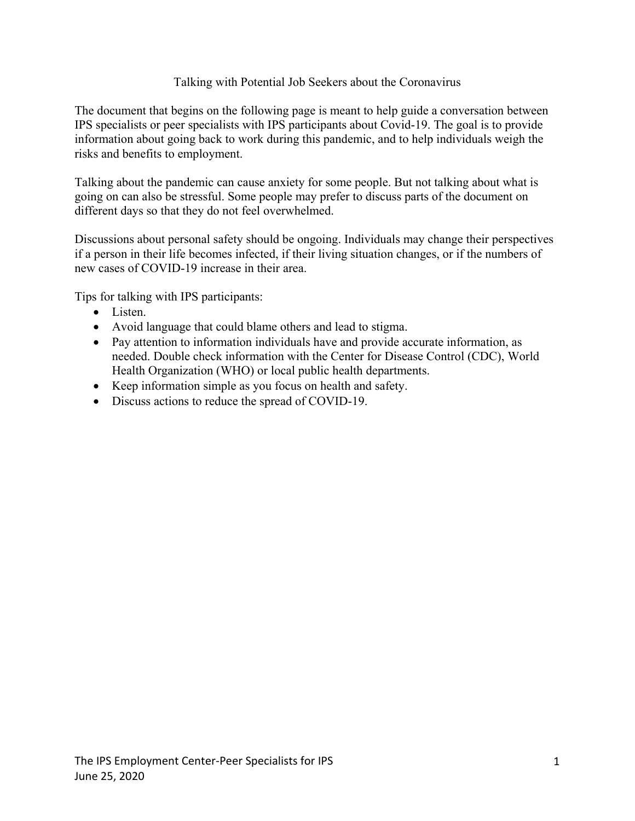### Talking with Potential Job Seekers about the Coronavirus

The document that begins on the following page is meant to help guide a conversation between IPS specialists or peer specialists with IPS participants about Covid-19. The goal is to provide information about going back to work during this pandemic, and to help individuals weigh the risks and benefits to employment.

Talking about the pandemic can cause anxiety for some people. But not talking about what is going on can also be stressful. Some people may prefer to discuss parts of the document on different days so that they do not feel overwhelmed.

Discussions about personal safety should be ongoing. Individuals may change their perspectives if a person in their life becomes infected, if their living situation changes, or if the numbers of new cases of COVID-19 increase in their area.

Tips for talking with IPS participants:

- Listen.
- Avoid language that could blame others and lead to stigma.
- Pay attention to information individuals have and provide accurate information, as needed. Double check information with the Center for Disease Control (CDC), World Health Organization (WHO) or local public health departments.
- Keep information simple as you focus on health and safety.
- Discuss actions to reduce the spread of COVID-19.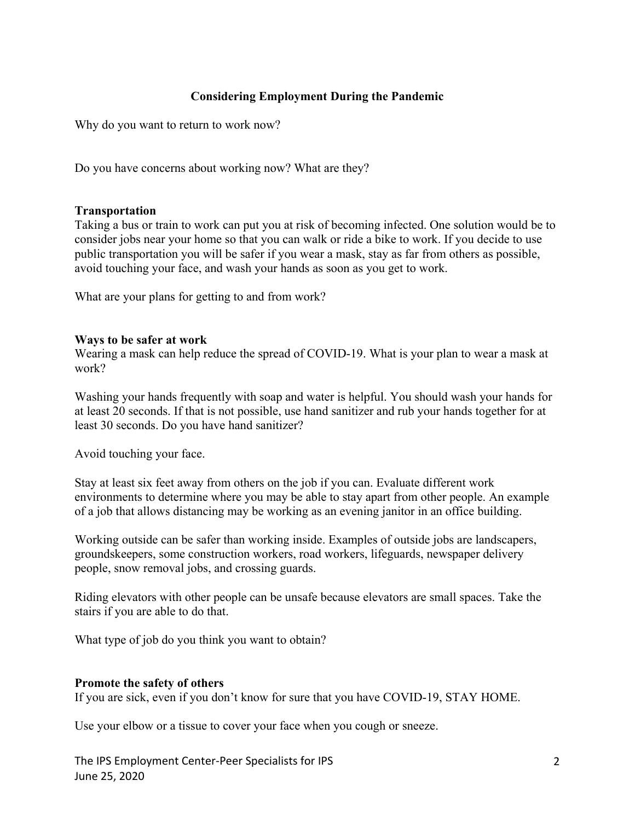# **Considering Employment During the Pandemic**

Why do you want to return to work now?

Do you have concerns about working now? What are they?

### **Transportation**

Taking a bus or train to work can put you at risk of becoming infected. One solution would be to consider jobs near your home so that you can walk or ride a bike to work. If you decide to use public transportation you will be safer if you wear a mask, stay as far from others as possible, avoid touching your face, and wash your hands as soon as you get to work.

What are your plans for getting to and from work?

### **Ways to be safer at work**

Wearing a mask can help reduce the spread of COVID-19. What is your plan to wear a mask at work?

Washing your hands frequently with soap and water is helpful. You should wash your hands for at least 20 seconds. If that is not possible, use hand sanitizer and rub your hands together for at least 30 seconds. Do you have hand sanitizer?

Avoid touching your face.

Stay at least six feet away from others on the job if you can. Evaluate different work environments to determine where you may be able to stay apart from other people. An example of a job that allows distancing may be working as an evening janitor in an office building.

Working outside can be safer than working inside. Examples of outside jobs are landscapers, groundskeepers, some construction workers, road workers, lifeguards, newspaper delivery people, snow removal jobs, and crossing guards.

Riding elevators with other people can be unsafe because elevators are small spaces. Take the stairs if you are able to do that.

What type of job do you think you want to obtain?

#### **Promote the safety of others**

If you are sick, even if you don't know for sure that you have COVID-19, STAY HOME.

Use your elbow or a tissue to cover your face when you cough or sneeze.

The IPS Employment Center-Peer Specialists for IPS June 25, 2020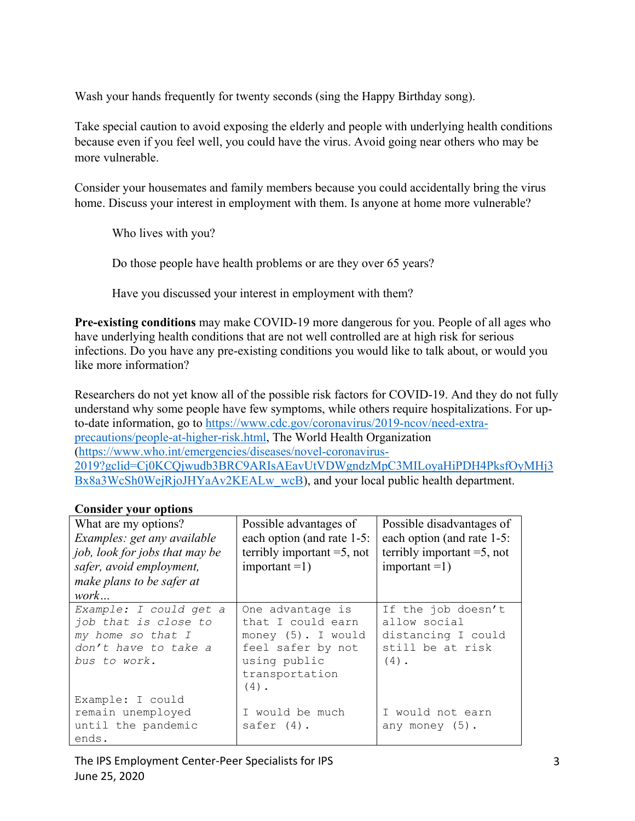Wash your hands frequently for twenty seconds (sing the Happy Birthday song).

Take special caution to avoid exposing the elderly and people with underlying health conditions because even if you feel well, you could have the virus. Avoid going near others who may be more vulnerable.

Consider your housemates and family members because you could accidentally bring the virus home. Discuss your interest in employment with them. Is anyone at home more vulnerable?

Who lives with you?

Do those people have health problems or are they over 65 years?

Have you discussed your interest in employment with them?

**Pre-existing conditions** may make COVID-19 more dangerous for you. People of all ages who have underlying health conditions that are not well controlled are at high risk for serious infections. Do you have any pre-existing conditions you would like to talk about, or would you like more information?

Researchers do not yet know all of the possible risk factors for COVID-19. And they do not fully understand why some people have few symptoms, while others require hospitalizations. For upto-date information, go to [https://www.cdc.gov/coronavirus/2019-ncov/need-extra](https://www.cdc.gov/coronavirus/2019-ncov/need-extra-precautions/people-at-higher-risk.html)[precautions/people-at-higher-risk.html,](https://www.cdc.gov/coronavirus/2019-ncov/need-extra-precautions/people-at-higher-risk.html) The World Health Organization [\(https://www.who.int/emergencies/diseases/novel-coronavirus-](https://www.who.int/emergencies/diseases/novel-coronavirus-2019?gclid=Cj0KCQjwudb3BRC9ARIsAEavUtVDWgndzMpC3MILoyaHiPDH4PksfOyMHj3Bx8a3WcSh0WejRjoJHYaAv2KEALw_wcB)[2019?gclid=Cj0KCQjwudb3BRC9ARIsAEavUtVDWgndzMpC3MILoyaHiPDH4PksfOyMHj3](https://www.who.int/emergencies/diseases/novel-coronavirus-2019?gclid=Cj0KCQjwudb3BRC9ARIsAEavUtVDWgndzMpC3MILoyaHiPDH4PksfOyMHj3Bx8a3WcSh0WejRjoJHYaAv2KEALw_wcB) [Bx8a3WcSh0WejRjoJHYaAv2KEALw\\_wcB\)](https://www.who.int/emergencies/diseases/novel-coronavirus-2019?gclid=Cj0KCQjwudb3BRC9ARIsAEavUtVDWgndzMpC3MILoyaHiPDH4PksfOyMHj3Bx8a3WcSh0WejRjoJHYaAv2KEALw_wcB), and your local public health department.

# **Consider your options**

| What are my options?<br>Examples: get any available<br>job, look for jobs that may be<br>safer, avoid employment,<br>make plans to be safer at<br>work | Possible advantages of<br>each option (and rate 1-5:<br>terribly important $=5$ , not<br>$important = 1)$                     | Possible disadvantages of<br>each option (and rate 1-5:<br>terribly important $=$ 5, not<br>$important = 1)$ |
|--------------------------------------------------------------------------------------------------------------------------------------------------------|-------------------------------------------------------------------------------------------------------------------------------|--------------------------------------------------------------------------------------------------------------|
| Example: I could get a<br>job that is close to<br>my home so that I<br>don't have to take a<br>bus to work.                                            | One advantage is<br>that I could earn<br>money (5). I would<br>feel safer by not<br>using public<br>transportation<br>$(4)$ . | If the job doesn't<br>allow social<br>distancing I could<br>still be at risk<br>$(4)$ .                      |
| Example: I could<br>remain unemployed<br>until the pandemic<br>ends.                                                                                   | I would be much<br>safer $(4)$ .                                                                                              | I would not earn<br>any money $(5)$ .                                                                        |